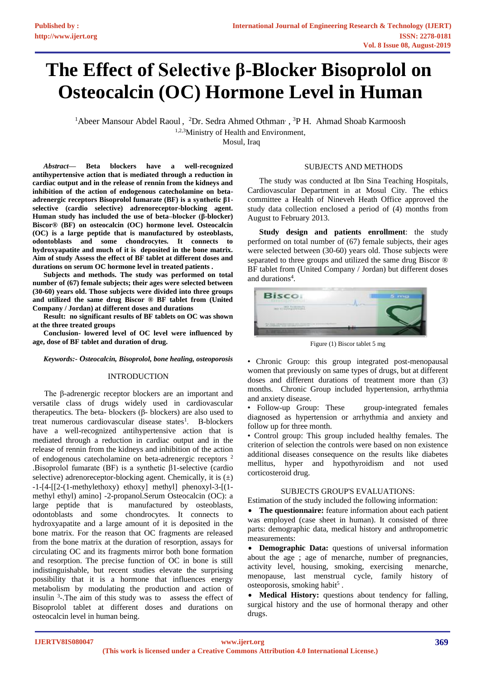# **The Effect of Selective β-Blocker Bisoprolol on Osteocalcin (OC) Hormone Level in Human**

<sup>1</sup>Abeer Mansour Abdel Raoul, <sup>2</sup>Dr. Sedra Ahmed Othman<sup>, 3</sup>P H. Ahmad Shoab Karmoosh 1,2,3Ministry of Health and Environment, Mosul, Iraq

*Abstract***— Beta blockers have a well-recognized antihypertensive action that is mediated through a reduction in cardiac output and in the release of rennin from the kidneys and inhibition of the action of endogenous catecholamine on betaadrenergic receptors Bisoprolol fumarate (BF) is a synthetic β1 selective (cardio selective) adrenoreceptor-blocking agent. Human study has included the use of beta–blocker (β-blocker) Biscor® (BF) on osteocalcin (OC) hormone level. Osteocalcin (OC) is a large peptide that is manufactured by osteoblasts, odontoblasts and some chondrocytes. It connects to hydroxyapatite and much of it is deposited in the bone matrix. Aim of study Assess the effect of BF tablet at different doses and durations on serum OC hormone level in treated patients .** 

**Subjects and methods. The study was performed on total number of (67) female subjects; their ages were selected between (30-60) years old. Those subjects were divided into three groups and utilized the same drug Biscor ® BF tablet from (United Company / Jordan) at different doses and durations** 

**Result: no significant results of BF tablets on OC was shown at the three treated groups** 

**Conclusion- lowered level of OC level were influenced by age, dose of BF tablet and duration of drug.** 

#### *Keywords:- Osteocalcin, Bisoprolol, bone healing, osteoporosis*

## INTRODUCTION

The β-adrenergic receptor blockers are an important and versatile class of drugs widely used in cardiovascular therapeutics. The beta- blockers (β- blockers) are also used to treat numerous cardiovascular disease states<sup>1</sup>. B-blockers have a well-recognized antihypertensive action that is mediated through a reduction in cardiac output and in the release of rennin from the kidneys and inhibition of the action of endogenous catecholamine on beta-adrenergic receptors <sup>2</sup> .Bisoprolol fumarate (BF) is a synthetic β1-selective (cardio selective) adrenoreceptor-blocking agent. Chemically, it is  $(\pm)$ -1-[4-[[2-(1-methylethoxy) ethoxy] methyl] phenoxyl-3-[(1 methyl ethyl) amino] -2-propanol.Serum Osteocalcin (OC): a large peptide that is manufactured by osteoblasts, odontoblasts and some chondrocytes. It connects to hydroxyapatite and a large amount of it is deposited in the bone matrix. For the reason that OC fragments are released from the bone matrix at the duration of resorption, assays for circulating OC and its fragments mirror both bone formation and resorption. The precise function of OC in bone is still indistinguishable, but recent studies elevate the surprising possibility that it is a hormone that influences energy metabolism by modulating the production and action of insulin  $3$ -.The aim of this study was to assess the effect of Bisoprolol tablet at different doses and durations on osteocalcin level in human being.

#### SUBJECTS AND METHODS

The study was conducted at Ibn Sina Teaching Hospitals, Cardiovascular Department in at Mosul City. The ethics committee a Health of Nineveh Heath Office approved the study data collection enclosed a period of (4) months from August to February 2013.

**Study design and patients enrollment**: the study performed on total number of (67) female subjects, their ages were selected between (30-60) years old. Those subjects were separated to three groups and utilized the same drug Biscor ® BF tablet from (United Company / Jordan) but different doses and durations<sup>4</sup>.



Figure (1) Biscor tablet 5 mg

• Chronic Group: this group integrated post-menopausal women that previously on same types of drugs, but at different doses and different durations of treatment more than (3) months. Chronic Group included hypertension, arrhythmia and anxiety disease.

• Follow-up Group: These group-integrated females diagnosed as hypertension or arrhythmia and anxiety and follow up for three month.

• Control group: This group included healthy females. The criterion of selection the controls were based on non existence additional diseases consequence on the results like diabetes mellitus, hyper and hypothyroidism and not used corticosteroid drug.

## SUBJECTS GROUP'S EVALUATIONS:

Estimation of the study included the following information:

• **The questionnaire:** feature information about each patient was employed (case sheet in human). It consisted of three parts: demographic data, medical history and anthropometric measurements:

• **Demographic Data:** questions of universal information about the age ; age of menarche, number of pregnancies, activity level, housing, smoking, exercising menarche, menopause, last menstrual cycle, family history of osteoporosis, smoking habit<sup>5</sup>.

• **Medical History:** questions about tendency for falling, surgical history and the use of hormonal therapy and other drugs.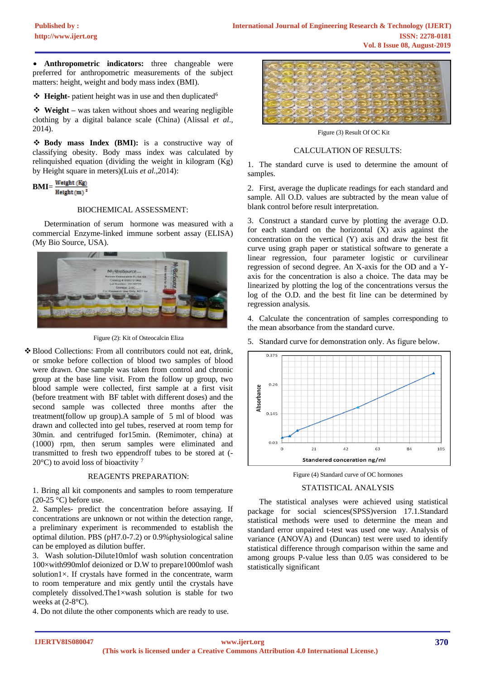• **Anthropometric indicators:** three changeable were preferred for anthropometric measurements of the subject matters: height, weight and body mass index (BMI).

❖ **Height-** patient height was in use and then duplicated<sup>6</sup>

❖ **Weight –** was taken without shoes and wearing negligible clothing by a digital balance scale (China) (Alissal *et al*., 2014).

❖ **Body mass Index (BMI):** is a constructive way of classifying obesity. Body mass index was calculated by relinquished equation (dividing the weight in kilogram (Kg) by Height square in meters)(Luis *et al.*,2014):

 $BMI=\frac{Weight(Kg)}{Height(m)^2}$ 

# BIOCHEMICAL ASSESSMENT:

Determination of serum hormone was measured with a commercial Enzyme-linked immune sorbent assay (ELISA) (My Bio Source, USA).



Figure (2): Kit of Osteocalcin Eliza

❖Blood Collections: From all contributors could not eat, drink, or smoke before collection of blood two samples of blood were drawn. One sample was taken from control and chronic group at the base line visit. From the follow up group, two blood sample were collected, first sample at a first visit (before treatment with BF tablet with different doses) and the second sample was collected three months after the treatment(follow up group).A sample of 5 ml of blood was drawn and collected into gel tubes, reserved at room temp for 30min. and centrifuged for15min. (Remimoter, china) at (1000) rpm, then serum samples were eliminated and transmitted to fresh two eppendroff tubes to be stored at (- 20 $^{\circ}$ C) to avoid loss of bioactivity<sup>7</sup>

### REAGENTS PREPARATION:

1. Bring all kit components and samples to room temperature  $(20-25 \degree C)$  before use.

2. Samples- predict the concentration before assaying. If concentrations are unknown or not within the detection range, a preliminary experiment is recommended to establish the optimal dilution. PBS (pH7.0-7.2) or 0.9%physiological saline can be employed as dilution buffer.

3. Wash solution-Dilute10mlof wash solution concentration 100×with990mlof deionized or D.W to prepare1000mlof wash solution1 $\times$ . If crystals have formed in the concentrate, warm to room temperature and mix gently until the crystals have completely dissolved.The1×wash solution is stable for two weeks at (2-8°C).

4. Do not dilute the other components which are ready to use.



Figure (3) Result Of OC Kit

#### CALCULATION OF RESULTS:

1. The standard curve is used to determine the amount of samples.

2. First, average the duplicate readings for each standard and sample. All O.D. values are subtracted by the mean value of blank control before result interpretation.

3. Construct a standard curve by plotting the average O.D. for each standard on the horizontal (X) axis against the concentration on the vertical (Y) axis and draw the best fit curve using graph paper or statistical software to generate a linear regression, four parameter logistic or curvilinear regression of second degree. An X-axis for the OD and a Yaxis for the concentration is also a choice. The data may be linearized by plotting the log of the concentrations versus the log of the O.D. and the best fit line can be determined by regression analysis.

4. Calculate the concentration of samples corresponding to the mean absorbance from the standard curve.

5. Standard curve for demonstration only. As figure below.



Figure (4) Standard curve of OC hormones

### STATISTICAL ANALYSIS

The statistical analyses were achieved using statistical package for social sciences(SPSS)version 17.1.Standard statistical methods were used to determine the mean and standard error unpaired t-test was used one way. Analysis of variance (ANOVA) and (Duncan) test were used to identify statistical difference through comparison within the same and among groups P-value less than 0.05 was considered to be statistically significant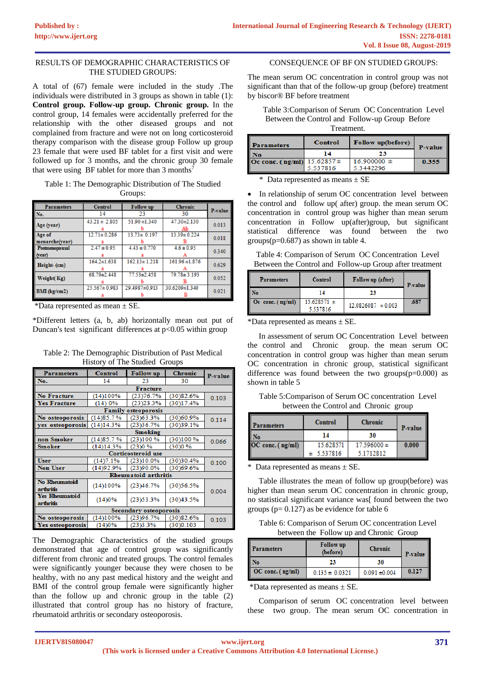## RESULTS OF DEMOGRAPHIC CHARACTERISTICS OF THE STUDIED GROUPS:

A total of (67) female were included in the study .The individuals were distributed in 3 groups as shown in table (1): **Control group. Follow-up group. Chronic group.** In the control group, 14 females were accidentally preferred for the relationship with the other diseased groups and not complained from fracture and were not on long corticosteroid therapy comparison with the disease group Follow up group 23 female that were used BF tablet for a first visit and were followed up for 3 months, and the chronic group 30 female that were using BF tablet for more than  $3 \text{ months}^7$ 

Table 1: The Demographic Distribution of The Studied Groups:

| <b>Parameters</b>     | Control            | <b>Follow</b> up   | <b>Chronic</b>     |         |
|-----------------------|--------------------|--------------------|--------------------|---------|
| No.                   | 14                 | 23                 | 30                 | P-value |
| Age (year)            | $43.21 \pm 2.805$  | $51.90 \pm 1.340$  | 47.30±2.130        | 0.013   |
|                       |                    |                    |                    |         |
| Age of                | $12.71 \pm 0.286$  | $13.73 \pm 0.197$  | $13.39 \pm 0.224$  | 0.018   |
| menarche(vear)        |                    |                    |                    |         |
| <b>Postmenopausal</b> | $2.47 \pm 0.95$    | $4.43 \pm 0.770$   | $4.6 \pm 0.95$     | 0.340   |
| (year)                |                    |                    |                    |         |
| Height-(cm)           | $164.2 \pm 1.638$  | $162.13 \pm 1.218$ | $161.96 \pm 1.876$ | 0.629   |
|                       |                    |                    |                    |         |
| Weight(Kg)            | $68.79 \pm 2.448$  | $77.53 \pm 2.458$  | $79.78 \pm 3.193$  | 0.052   |
|                       |                    |                    |                    |         |
| <b>BMI</b> (kg/cm2)   | $25.567 \pm 0.983$ | 29.4987±0.913      | 30.6209±1.340      | 0.021   |
|                       |                    |                    |                    |         |

\*Data represented as mean  $\pm$  SE.

\*Different letters (a, b, ab) horizontally mean out put of Duncan's test significant differences at  $p<0.05$  within group

Table 2: The Demographic Distribution of Past Medical History of The Studied Groups

| <b>Parameters</b>                  | <b>Control</b> | <b>Follow</b> up            | <b>Chronic</b> | P-value |  |
|------------------------------------|----------------|-----------------------------|----------------|---------|--|
| No.                                | 14             | 23                          | 30             |         |  |
|                                    |                | <b>Fracture</b>             |                |         |  |
| <b>No Fracture</b>                 | (14)100%       | (23)76.7%                   | (30)82.6%      | 0.103   |  |
| <b>Yes Fracture</b>                | (14)0%         | $(23)$ $23.3%$              | (30)17.4%      |         |  |
|                                    |                | <b>Family osteoporosis</b>  |                |         |  |
| No osteoporosis                    | (14)85.7%      | $(23)$ 63.3%                | (30)60.9%      | 0.114   |  |
| yes osteoporosis                   | (14)14.3%      | (23)36.7%                   | (30)39.1%      |         |  |
| Smoking                            |                |                             |                |         |  |
| non Smoker                         | (14)85.7%      | (23)100%                    | (30)100 %      | 0.066   |  |
| <b>Smoker</b>                      | (14)14.3%      | (23)0%                      | (30)0%         |         |  |
| Corticosteroid use                 |                |                             |                |         |  |
| <b>User</b>                        | (14)7.1%       | (23)10.0%                   | (30)30.4%      | 0.100   |  |
| Non User                           | (14)92.9%      | (23)90.0%                   | (30)69.6%      |         |  |
|                                    |                | <b>Rheumatoid arthritis</b> |                |         |  |
| No Rheumatoid<br>arthritis         | (14)100%       | (23)46.7%                   | (30)56.5%      | 0.004   |  |
| <b>Yes Rheumatoid</b><br>arthritis | (14)0%         | (23)53.3%                   | (30)43.5%      |         |  |
| Secondary osteoporosis             |                |                             |                |         |  |
| No osteoporosis                    | (14)100%       | (23)96.7%                   | (30)82.6%      | 0.103   |  |
| Yes osteoporosis                   | (14)0%         | (23)3.3%                    | (30)0.103      |         |  |

The Demographic Characteristics of the studied groups demonstrated that age of control group was significantly different from chronic and treated groups. The control females were significantly younger because they were chosen to be healthy, with no any past medical history and the weight and BMI of the control group female were significantly higher than the follow up and chronic group in the table  $(2)$ illustrated that control group has no history of fracture, rheumatoid arthritis or secondary osteoporosis.

CONSEQUENCE OF BF ON STUDIED GROUPS:

The mean serum OC concentration in control group was not significant than that of the follow-up group (before) treatment by biscor® BF before treatment

Table 3:Comparison of Serum OC Concentration Level Between the Control and Follow-up Group Before Treatment.

| <b>Parameters</b>                      | Control  | Follow up(before) | P-value |
|----------------------------------------|----------|-------------------|---------|
| No                                     | 14       | 23                |         |
| <b>Oc conc. (ng/ml)</b> $15.62857 \pm$ |          | $16.900000 \pm$   | 0.355   |
|                                        | 5.537816 | 5.3442296         |         |

\* Data represented as means  $\pm$  SE

• In relationship of serum OC concentration level between the control and follow up( after) group. the mean serum OC concentration in control group was higher than mean serum concentration in Follow up(after)group, but significant statistical difference was found between the two  $groups(p=0.687)$  as shown in table 4.

| Table 4: Comparison of Serum OC Concentration Level     |  |  |
|---------------------------------------------------------|--|--|
| Between the Control and Follow-up Group after treatment |  |  |

| <b>Parameters</b>  | <b>Control</b>              | Follow up (after)      | P-value |
|--------------------|-----------------------------|------------------------|---------|
| No                 |                             | 23                     |         |
| Oc conc. $(ng/ml)$ | $15.628571 \pm$<br>5.537816 | $12.0826087 \pm 0.003$ | .687    |

\*Data represented as means ± SE.

In assessment of serum OC Concentration Level between the control and Chronic group. the mean serum OC concentration in control group was higher than mean serum OC concentration in chronic group, statistical significant difference was found between the two groups $(p=0.000)$  as shown in table 5

Table 5:Comparison of Serum OC concentration Level between the Control and Chronic group

| <b>Parameters</b> | Control   | <b>Chronic</b>  | P-value |
|-------------------|-----------|-----------------|---------|
| ٧ō                | 14        | 30              |         |
| OC conc. (ng/ml)  | 15.628571 | $17.596000 \pm$ | 0.000   |
|                   | 5.537816  | 5.1712812       |         |

\* Data represented as means ± SE.

Table illustrates the mean of follow up group(before) was higher than mean serum OC concentration in chronic group, no statistical significant variance was[ found between the two groups ( $p = 0.127$ ) as be evidence for table 6

Table 6: Comparison of Serum OC concentration Level between the Follow up and Chronic Group

| <b>Parameters</b> | Follow up<br>(before) | <b>Chronic</b>  | P-value |
|-------------------|-----------------------|-----------------|---------|
| $\mathbf{N}$      | 23                    | 30              |         |
| OC conc. (ng/ml)  | $0.135 \pm 0.0321$    | $0.091 + 0.004$ | 0.127   |

\*Data represented as means  $\pm$  SE.

Comparison of serum OC concentration level between these two group. The mean serum OC concentration in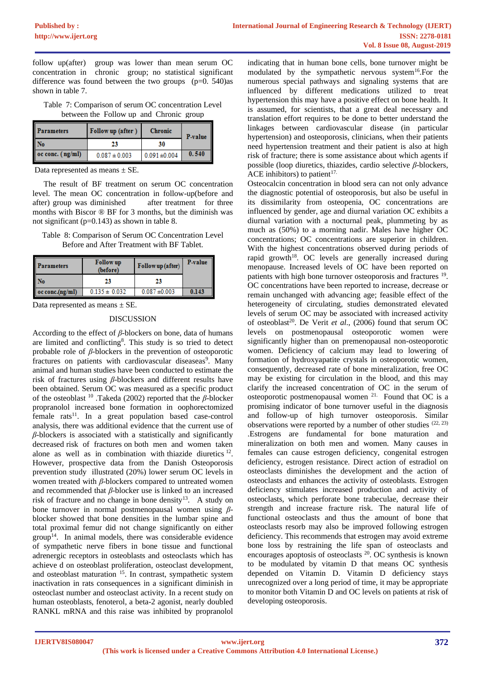follow up(after) group was lower than mean serum OC concentration in chronic group; no statistical significant difference was found between the two groups  $(p=0.540)$ as shown in table 7.

| Table 7: Comparison of serum OC concentration Level |  |  |
|-----------------------------------------------------|--|--|
| between the Follow up and Chronic group             |  |  |

| <b>Parameters</b>               | Follow up (after) | <b>Chronic</b>    | P-value |
|---------------------------------|-------------------|-------------------|---------|
| II No                           | 23                | 30                |         |
| $\alpha$ conc. $(\text{ng/ml})$ | $0.087 \pm 0.003$ | $0.091 \pm 0.004$ | 0.540   |

Data represented as means  $\pm$  SE.

The result of BF treatment on serum OC concentration level. The mean OC concentration in follow-up(before and after) group was diminished after treatment for three months with Biscor ® BF for 3 months, but the diminish was not significant (p=0.143) as shown in table 8.

Table 8: Comparison of Serum OC Concentration Level Before and After Treatment with BF Tablet.

| <b>Parameters</b>       | <b>Follow</b> up<br>(before) | Follow up (after) | P-value |
|-------------------------|------------------------------|-------------------|---------|
| Nо                      | 23                           | 23                |         |
| $\vert$ oc conc.(ng/ml) | $0.135 \pm 0.032$            | $0.087 \pm 0.003$ | 0.143   |

Data represented as means  $\pm$  SE.

## DISCUSSION

According to the effect of *β*-blockers on bone, data of humans are limited and conflicting<sup>8</sup>. This study is so tried to detect probable role of *β*-blockers in the prevention of osteoporotic fractures on patients with cardiovascular diseaseas<sup>9</sup>. Many animal and human studies have been conducted to estimate the risk of fractures using *β-*blockers and different results have been obtained. Serum OC was measured as a specific product of the osteoblast <sup>10</sup> .Takeda (2002) reported that the *β-*blocker propranolol increased bone formation in oophorectomized  $f$ emale rats<sup>11</sup>. In a great population based case-control analysis, there was additional evidence that the current use of *β-*blockers is associated with a statistically and significantly decreased risk of fractures on both men and women taken alone as well as in combination with thiazide diuretics  $12$ . However, prospective data from the Danish Osteoporosis prevention study illustrated (20%) lower serum OC levels in women treated with *β-*blockers compared to untreated women and recommended that *β-*blocker use is linked to an increased risk of fracture and no change in bone density<sup>13</sup>. A study on bone turnover in normal postmenopausal women using *β*blocker showed that bone densities in the lumbar spine and total proximal femur did not change significantly on either  $group<sup>14</sup>$ . In animal models, there was considerable evidence of sympathetic nerve fibers in bone tissue and functional adrenergic receptors in osteoblasts and osteoclasts which has achieve d on osteoblast proliferation, osteoclast development, and osteoblast maturation <sup>15</sup>. In contrast, sympathetic system inactivation in rats consequences in a significant diminish in osteoclast number and osteoclast activity. In a recent study on human osteoblasts, fenoterol, a beta-2 agonist, nearly doubled RANKL mRNA and this raise was inhibited by propranolol

indicating that in human bone cells, bone turnover might be modulated by the sympathetic nervous system<sup>16</sup>.For the numerous special pathways and signaling systems that are influenced by different medications utilized to treat hypertension this may have a positive effect on bone health. It is assumed, for scientists, that a great deal necessary and translation effort requires to be done to better understand the linkages between cardiovascular disease (in particular hypertension) and osteoporosis, clinicians, when their patients need hypertension treatment and their patient is also at high risk of fracture; there is some assistance about which agents if possible (loop diuretics, thiazides, cardio selective *β-*blockers, ACE inhibitors) to patient<sup>17.</sup>

Osteocalcin concentration in blood sera can not only advance the diagnostic potential of osteoporosis, but also be useful in its dissimilarity from osteopenia, OC concentrations are influenced by gender, age and diurnal variation OC exhibits a diurnal variation with a nocturnal peak, plummeting by as much as (50%) to a morning nadir. Males have higher OC concentrations; OC concentrations are superior in children. With the highest concentrations observed during periods of rapid growth<sup>18</sup>. OC levels are generally increased during menopause. Increased levels of OC have been reported on patients with high bone turnover osteoporosis and fractures <sup>19</sup>. OC concentrations have been reported to increase, decrease or remain unchanged with advancing age; feasible effect of the heterogeneity of circulating, studies demonstrated elevated levels of serum OC may be associated with increased activity of osteoblast<sup>20</sup>. De Verit *et al.*, (2006) found that serum OC levels on postmenopausal osteoporotic women were significantly higher than on premenopausal non-osteoporotic women. Deficiency of calcium may lead to lowering of formation of hydroxyapatite crystals in osteoporotic women, consequently, decreased rate of bone mineralization, free OC may be existing for circulation in the blood, and this may clarify the increased concentration of OC in the serum of osteoporotic postmenopausal women <sup>21.</sup> Found that OC is a promising indicator of bone turnover useful in the diagnosis and follow-up of high turnover osteoporosis. Similar observations were reported by a number of other studies  $(22, 23)$ .Estrogens are fundamental for bone maturation and mineralization on both men and women. Many causes in females can cause estrogen deficiency, congenital estrogen deficiency, estrogen resistance. Direct action of estradiol on osteoclasts diminishes the development and the action of osteoclasts and enhances the activity of osteoblasts. Estrogen deficiency stimulates increased production and activity of osteoclasts, which perforate bone trabeculae, decrease their strength and increase fracture risk. The natural life of functional osteoclasts and thus the amount of bone that osteoclasts resorb may also be improved following estrogen deficiency. This recommends that estrogen may avoid extreme bone loss by restraining the life span of osteoclasts and encourages apoptosis of osteoclasts <sup>20</sup>. OC synthesis is known to be modulated by vitamin D that means OC synthesis depended on Vitamin D. Vitamin D deficiency stays unrecognized over a long period of time, it may be appropriate to monitor both Vitamin D and OC levels on patients at risk of developing osteoporosis.